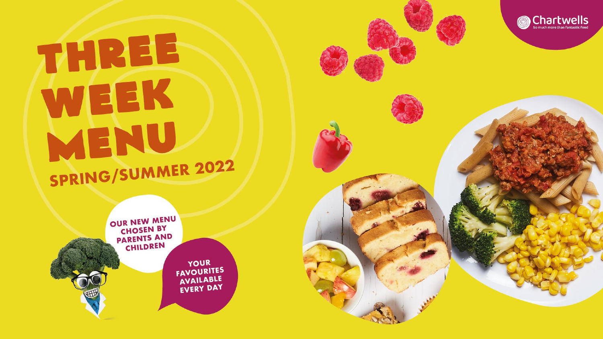## THREE WEEK MENU SPRING/SUMMER 2022



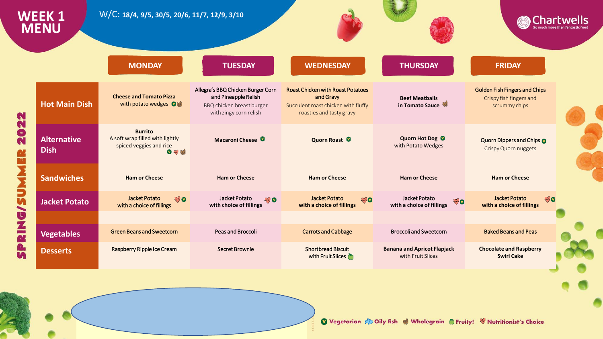|                                                      | <b>WEEK1</b><br><b>MENU</b>       | W/C: 18/4, 9/5, 30/5, 20/6, 11/7, 12/9, 3/10                                        |                                                                                                                  |                                                                                                                          |                                                               |                                                                                  | <b>Chartwells</b> |
|------------------------------------------------------|-----------------------------------|-------------------------------------------------------------------------------------|------------------------------------------------------------------------------------------------------------------|--------------------------------------------------------------------------------------------------------------------------|---------------------------------------------------------------|----------------------------------------------------------------------------------|-------------------|
|                                                      |                                   | <b>MONDAY</b>                                                                       | <b>TUESDAY</b>                                                                                                   | <b>WEDNESDAY</b>                                                                                                         | <b>THURSDAY</b>                                               | <b>FRIDAY</b>                                                                    |                   |
| N                                                    | <b>Hot Main Dish</b>              | <b>Cheese and Tomato Pizza</b><br>with potato wedges O                              | Allegra's BBQ Chicken Burger Corn<br>and Pineapple Relish<br>BBQ chicken breast burger<br>with zingy corn relish | <b>Roast Chicken with Roast Potatoes</b><br>and Gravy<br>Succulent roast chicken with fluffy<br>roasties and tasty gravy | <b>Beef Meatballs</b><br>in Tomato Sauce                      | <b>Golden Fish Fingers and Chips</b><br>Crispy fish fingers and<br>scrummy chips |                   |
| N<br>$\bullet$<br>N<br><b>IRA</b>                    | <b>Alternative</b><br><b>Dish</b> | <b>Burrito</b><br>A soft wrap filled with lightly<br>spiced veggies and rice<br>●多線 | Macaroni Cheese <sup>O</sup>                                                                                     | Quorn Roast <sup>O</sup>                                                                                                 | Quorn Hot Dog <sup>0</sup><br>with Potato Wedges              | Quorn Dippers and Chips<br><b>Crispy Quorn nuggets</b>                           |                   |
| <b>NN</b><br>D<br><b>S/9</b><br>No.<br>$\frac{a}{n}$ | <b>Sandwiches</b>                 | <b>Ham or Cheese</b>                                                                | <b>Ham or Cheese</b>                                                                                             | <b>Ham or Cheese</b>                                                                                                     | <b>Ham or Cheese</b>                                          | <b>Ham or Cheese</b>                                                             |                   |
|                                                      | <b>Jacket Potato</b>              | Jacket Potato<br>$\mathcal{P}$<br>with a choice of fillings                         | Jacket Potato<br>$\mathbb{Z}$<br>with choice of fillings                                                         | Jacket Potato<br>秘<br>with a choice of fillings                                                                          | Jacket Potato<br>$\mathcal{P}$ o<br>with a choice of fillings | <b>Jacket Potato</b><br>多の<br>with a choice of fillings                          |                   |
|                                                      |                                   |                                                                                     |                                                                                                                  |                                                                                                                          |                                                               |                                                                                  |                   |
|                                                      | <b>Vegetables</b>                 | <b>Green Beans and Sweetcorn</b>                                                    | Peas and Broccoli                                                                                                | <b>Carrots and Cabbage</b>                                                                                               | <b>Broccoli and Sweetcorn</b>                                 | <b>Baked Beans and Peas</b>                                                      |                   |
|                                                      | <b>Desserts</b>                   | Raspberry Ripple Ice Cream                                                          | <b>Secret Brownie</b>                                                                                            | <b>Shortbread Biscuit</b><br>with Fruit Slices                                                                           | <b>Banana and Apricot Flapjack</b><br>with Fruit Slices       | <b>Chocolate and Raspberry</b><br><b>Swirl Cake</b>                              |                   |
|                                                      |                                   |                                                                                     |                                                                                                                  |                                                                                                                          |                                                               |                                                                                  |                   |

Vegetarian & Oily fish & Wholegrain & Fruity! W Nutritionist's Choice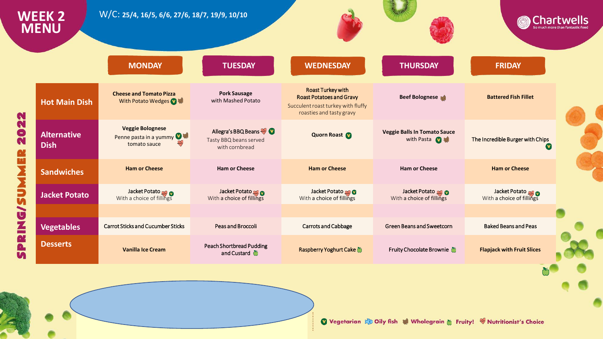| <b>WEEK 2</b><br><b>MENU</b>      | W/C: 25/4, 16/5, 6/6, 27/6, 18/7, 19/9, 10/10                                   |                                                                 |                                                                                                                               |                                                            | <b>Chartwells</b>                          |  |
|-----------------------------------|---------------------------------------------------------------------------------|-----------------------------------------------------------------|-------------------------------------------------------------------------------------------------------------------------------|------------------------------------------------------------|--------------------------------------------|--|
|                                   | <b>MONDAY</b>                                                                   | <b>TUESDAY</b>                                                  | <b>WEDNESDAY</b>                                                                                                              | <b>THURSDAY</b>                                            | <b>FRIDAY</b>                              |  |
| <b>Hot Main Dish</b>              | <b>Cheese and Tomato Pizza</b><br>With Potato Wedges 2 等                        | <b>Pork Sausage</b><br>with Mashed Potato                       | <b>Roast Turkey with</b><br><b>Roast Potatoes and Gravy</b><br>Succulent roast turkey with fluffy<br>roasties and tasty gravy | <b>Beef Bolognese</b>                                      | <b>Battered Fish Fillet</b>                |  |
| <b>Alternative</b><br><b>Dish</b> | <b>Veggie Bolognese</b><br>Penne pasta in a yummy <sup>14</sup><br>tomato sauce | Allegra's BBQ Beans<br>Tasty BBQ beans served<br>with cornbread | <b>Quorn Roast</b>                                                                                                            | <b>Veggie Balls In Tomato Sauce</b><br>with Pasta <b>O</b> | The Incredible Burger with Chips<br>V)     |  |
| <b>Sandwiches</b>                 | <b>Ham or Cheese</b>                                                            | <b>Ham or Cheese</b>                                            | <b>Ham or Cheese</b>                                                                                                          | <b>Ham or Cheese</b>                                       | <b>Ham or Cheese</b>                       |  |
| <b>Jacket Potato</b>              | Jacket Potato<br>With a choice of fillings                                      | Jacket Potato<br>With a choice of fillings                      | Jacket Potato<br>With a choice of fillings                                                                                    | Jacket Potato<br>With a choice of fillings                 | Jacket Potato<br>With a choice of fillings |  |
| <b>Vegetables</b>                 | <b>Carrot Sticks and Cucumber Sticks</b>                                        | <b>Peas and Broccoli</b>                                        | <b>Carrots and Cabbage</b>                                                                                                    | <b>Green Beans and Sweetcorn</b>                           | <b>Baked Beans and Peas</b>                |  |
| <b>Desserts</b>                   | <b>Vanilla Ice Cream</b>                                                        | <b>Peach Shortbread Pudding</b><br>and Custard $\bullet$        | Raspberry Yoghurt Cake                                                                                                        | Fruity Chocolate Brownie                                   | <b>Flapjack with Fruit Slices</b>          |  |
|                                   |                                                                                 |                                                                 |                                                                                                                               |                                                            |                                            |  |